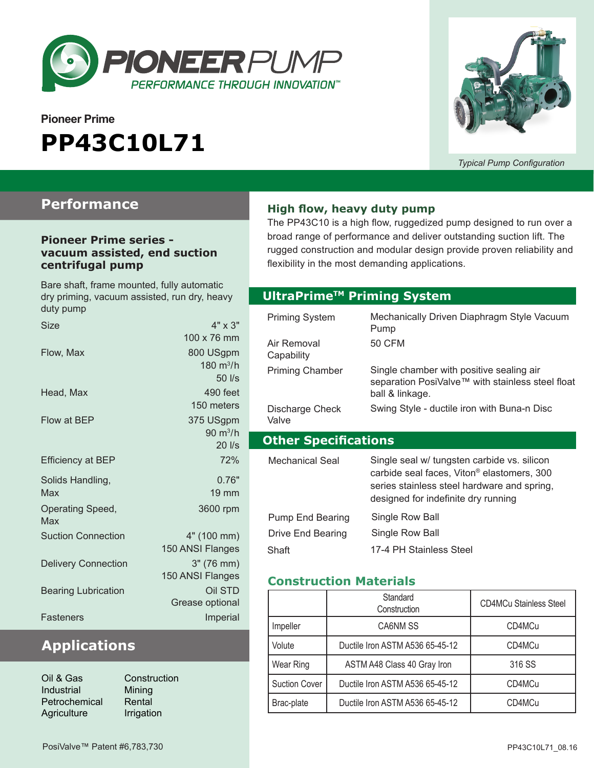

# **Pioneer Prime PP43C10L71**



*Typical Pump Configuration*

### **Performance**

#### **Pioneer Prime series vacuum assisted, end suction centrifugal pump**

Bare shaft, frame mounted, fully automatic dry priming, vacuum assisted, run dry, heavy

| Size                       | $4" \times 3"$                  |
|----------------------------|---------------------------------|
| Flow, Max                  | 100 x 76 mm<br>800 USgpm        |
|                            | 180 $m^3/h$<br>50 l/s           |
| Head, Max                  | 490 feet<br>150 meters          |
| Flow at BEP                | 375 USgpm<br>$90 \text{ m}^3/h$ |
| <b>Efficiency at BEP</b>   | $20$ $\text{I/s}$<br>72%        |
| Solids Handling,<br>Max    | 0.76"<br>$19 \text{ mm}$        |
| Operating Speed,<br>Max    | 3600 rpm                        |
| <b>Suction Connection</b>  | 4" (100 mm)<br>150 ANSI Flanges |
| <b>Delivery Connection</b> | 3" (76 mm)<br>150 ANSI Flanges  |
| <b>Bearing Lubrication</b> | Oil STD<br>Grease optional      |
| <b>Fasteners</b>           | Imperial                        |

### **Applications**

| Oil & Gas     | Constr    |
|---------------|-----------|
| Industrial    | Mining    |
| Petrochemical | Rental    |
| Agriculture   | Irrigatio |
|               |           |

struction ition

#### **High flow, heavy duty pump**

The PP43C10 is a high flow, ruggedized pump designed to run over a broad range of performance and deliver outstanding suction lift. The rugged construction and modular design provide proven reliability and flexibility in the most demanding applications.

#### **Optional Priming System UltraPrimeTM Priming System**

| duty pump                 |                               |                             |                                                                                                       |
|---------------------------|-------------------------------|-----------------------------|-------------------------------------------------------------------------------------------------------|
| <b>Size</b>               | 4" x 3"                       | <b>Priming System</b>       | Mechanically Driven Diaphragm Style Vacuum<br>Pump                                                    |
| Flow, Max                 | 100 x 76 mm<br>800 USgpm      | Air Removal<br>Capability   | <b>50 CFM</b>                                                                                         |
|                           | $180 \text{ m}^3/h$<br>50 l/s | <b>Priming Chamber</b>      | Single chamber with positive sealing air<br>separation PosiValve™ with stainless steel float          |
| Head, Max                 | 490 feet                      |                             | ball & linkage.                                                                                       |
|                           | 150 meters                    | Discharge Check             | Swing Style - ductile iron with Buna-n Disc                                                           |
| Flow at BEP               | 375 USgpm                     | Valve                       |                                                                                                       |
|                           | $90 \text{ m}^3/h$            | <b>Other Specifications</b> |                                                                                                       |
|                           | 20 l/s                        |                             |                                                                                                       |
| Efficiency at BEP         | 72%                           | <b>Mechanical Seal</b>      | Single seal w/ tungsten carbide vs. silicon                                                           |
| Solids Handling,          | 0.76"                         |                             | carbide seal faces, Viton <sup>®</sup> elastomers, 300<br>series stainless steel hardware and spring, |
| Max                       | <b>19 mm</b>                  |                             | designed for indefinite dry running                                                                   |
| Operating Speed,          | 3600 rpm                      |                             |                                                                                                       |
| Max                       |                               | <b>Pump End Bearing</b>     | Single Row Ball                                                                                       |
| <b>Suction Connection</b> | 4" (100 mm)                   | Drive End Bearing           | Single Row Ball                                                                                       |
|                           | 150 ANSI Flanges              | Shaft                       | 17-4 PH Stainless Steel                                                                               |
| - - -                     |                               |                             |                                                                                                       |

#### **Construction Materials**

|                      | Standard<br>Construction        | <b>CD4MCu Stainless Steel</b> |  |
|----------------------|---------------------------------|-------------------------------|--|
| Impeller             | CA6NM SS                        | CD4MCu                        |  |
| Volute               | Ductile Iron ASTM A536 65-45-12 | CD4MCu                        |  |
| Wear Ring            | ASTM A48 Class 40 Gray Iron     | 316 SS                        |  |
| <b>Suction Cover</b> | Ductile Iron ASTM A536 65-45-12 | CD4MCu                        |  |
| Brac-plate           | Ductile Iron ASTM A536 65-45-12 | CD4MCu                        |  |